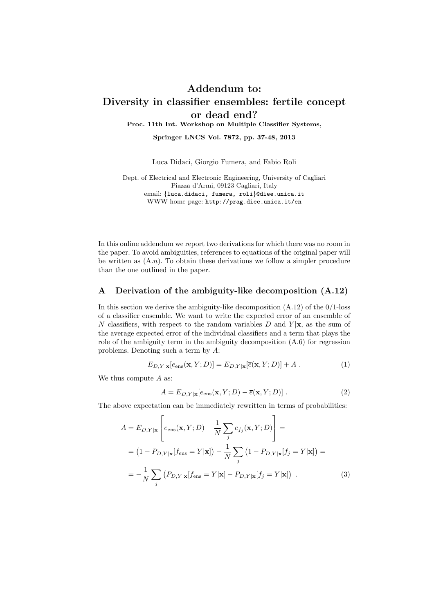## Addendum to: Diversity in classifier ensembles: fertile concept or dead end? Proc. 11th Int. Workshop on Multiple Classifier Systems,

Springer LNCS Vol. 7872, pp. 37-48, 2013

Luca Didaci, Giorgio Fumera, and Fabio Roli

Dept. of Electrical and Electronic Engineering, University of Cagliari Piazza d'Armi, 09123 Cagliari, Italy email: {luca.didaci, fumera, roli}@diee.unica.it WWW home page: http://prag.diee.unica.it/en

In this online addendum we report two derivations for which there was no room in the paper. To avoid ambiguities, references to equations of the original paper will be written as  $(A.n)$ . To obtain these derivations we follow a simpler procedure than the one outlined in the paper.

## A Derivation of the ambiguity-like decomposition (A.12)

In this section we derive the ambiguity-like decomposition  $(A.12)$  of the  $0/1$ -loss of a classifier ensemble. We want to write the expected error of an ensemble of N classifiers, with respect to the random variables D and  $Y|\mathbf{x}$ , as the sum of the average expected error of the individual classifiers and a term that plays the role of the ambiguity term in the ambiguity decomposition  $(A.6)$  for regression problems. Denoting such a term by A:

$$
E_{D,Y|\mathbf{x}}[e_{\text{ens}}(\mathbf{x}, Y; D)] = E_{D,Y|\mathbf{x}}[\overline{e}(\mathbf{x}, Y; D)] + A . \tag{1}
$$

We thus compute  $A$  as:

$$
A = E_{D,Y|\mathbf{x}}[e_{\text{ens}}(\mathbf{x}, Y; D) - \overline{e}(\mathbf{x}, Y; D)].
$$
\n(2)

The above expectation can be immediately rewritten in terms of probabilities:

$$
A = E_{D,Y|\mathbf{x}} \left[ e_{\text{ens}}(\mathbf{x}, Y; D) - \frac{1}{N} \sum_{j} e_{f_j}(\mathbf{x}, Y; D) \right] =
$$
  
=  $(1 - P_{D,Y|\mathbf{x}}[f_{\text{ens}} = Y|\mathbf{x}]) - \frac{1}{N} \sum_{j} (1 - P_{D,Y|\mathbf{x}}[f_j = Y|\mathbf{x}]) =$   
=  $-\frac{1}{N} \sum_{j} (P_{D,Y|\mathbf{x}}[f_{\text{ens}} = Y|\mathbf{x}] - P_{D,Y|\mathbf{x}}[f_j = Y|\mathbf{x}])$ . (3)